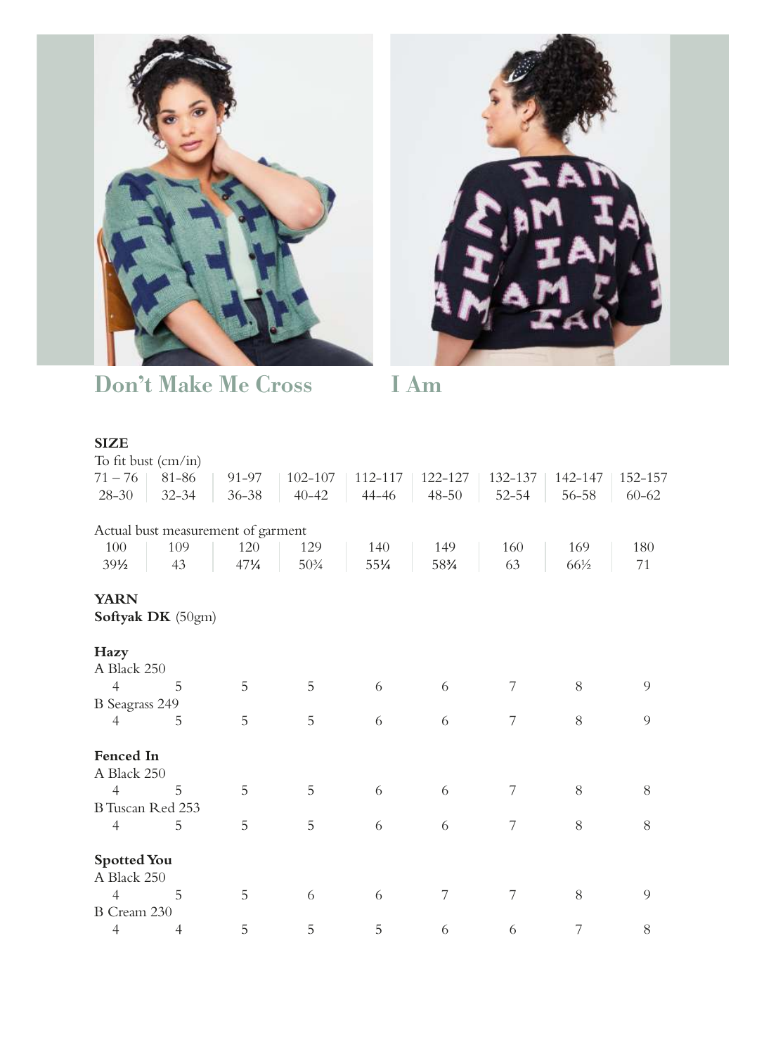



Don't Make Me Cross I Am

## **SIZE**

| To fit bust $\text{(cm/in)}$ |                                    |                 |             |         |           |           |         |           |
|------------------------------|------------------------------------|-----------------|-------------|---------|-----------|-----------|---------|-----------|
| $71 - 76$                    | 81-86                              | 91-97           | $102 - 107$ | 112-117 | 122-127   | 132-137   | 142-147 | 152-157   |
| $28 - 30$                    | $32 - 34$                          | $36 - 38$       | $40 - 42$   | 44-46   | $48 - 50$ | $52 - 54$ | 56-58   | $60 - 62$ |
|                              |                                    |                 |             |         |           |           |         |           |
|                              | Actual bust measurement of garment |                 |             |         |           |           |         |           |
| 100                          | 109                                | 120             | 129         | 140     | 149       | 160       | 169     | 180       |
| $39\frac{1}{2}$              | 43                                 | $47\frac{1}{4}$ | $50\%$      | 551/4   | 583/4     | 63        | 66½     | 71        |
| <b>YARN</b>                  |                                    |                 |             |         |           |           |         |           |
|                              | Softyak DK (50gm)                  |                 |             |         |           |           |         |           |
| Hazy                         |                                    |                 |             |         |           |           |         |           |
| A Black 250                  |                                    |                 |             |         |           |           |         |           |
| $\overline{4}$               | 5                                  | 5               | 5           | 6       | 6         | 7         | 8       | 9         |
| <b>B</b> Seagrass 249        |                                    |                 |             |         |           |           |         |           |
| 4                            | 5                                  | 5               | 5           | 6       | 6         | 7         | 8       | 9         |
| Fenced In                    |                                    |                 |             |         |           |           |         |           |
| A Black 250                  |                                    |                 |             |         |           |           |         |           |
| $\overline{4}$               | 5                                  | 5               | 5           | 6       | 6         | 7         | 8       | 8         |
| B Tuscan Red 253             |                                    |                 |             |         |           |           |         |           |
| $\overline{4}$               | 5                                  | 5               | 5           | 6       | 6         | 7         | 8       | 8         |
| <b>Spotted You</b>           |                                    |                 |             |         |           |           |         |           |
| A Black 250                  |                                    |                 |             |         |           |           |         |           |
| $\overline{4}$               | 5                                  | 5               | 6           | 6       | 7         | 7         | 8       | 9         |
| B Cream 230                  |                                    |                 |             |         |           |           |         |           |
| $\overline{4}$               | 4                                  | 5               | 5           | 5       | 6         | 6         | 7       | 8         |